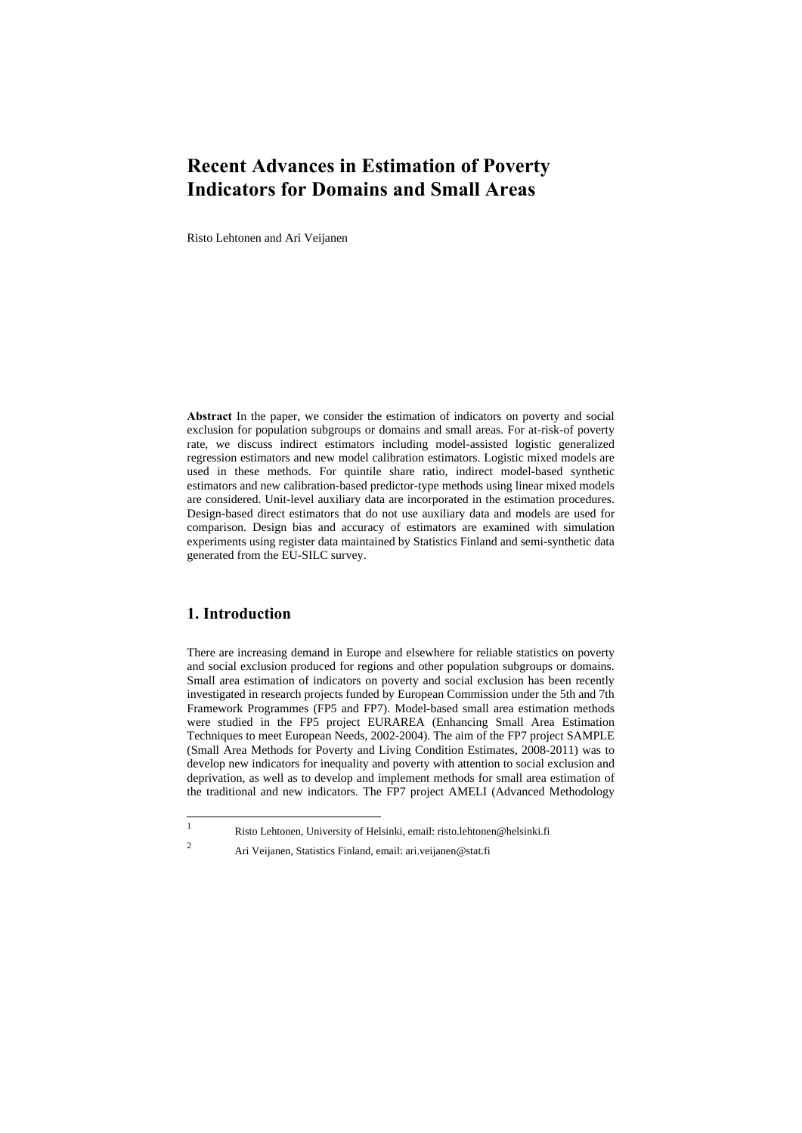Risto Lehtonen and Ari Veijanen

**Abstract** In the paper, we consider the estimation of indicators on poverty and social exclusion for population subgroups or domains and small areas. For at-risk-of poverty rate, we discuss indirect estimators including model-assisted logistic generalized regression estimators and new model calibration estimators. Logistic mixed models are used in these methods. For quintile share ratio, indirect model-based synthetic estimators and new calibration-based predictor-type methods using linear mixed models are considered. Unit-level auxiliary data are incorporated in the estimation procedures. Design-based direct estimators that do not use auxiliary data and models are used for comparison. Design bias and accuracy of estimators are examined with simulation experiments using register data maintained by Statistics Finland and semi-synthetic data generated from the EU-SILC survey.

## **1. Introduction**

There are increasing demand in Europe and elsewhere for reliable statistics on poverty and social exclusion produced for regions and other population subgroups or domains. Small area estimation of indicators on poverty and social exclusion has been recently investigated in research projects funded by European Commission under the 5th and 7th Framework Programmes (FP5 and FP7). Model-based small area estimation methods were studied in the FP5 project EURAREA (Enhancing Small Area Estimation Techniques to meet European Needs, 2002-2004). The aim of the FP7 project SAMPLE (Small Area Methods for Poverty and Living Condition Estimates, 2008-2011) was to develop new indicators for inequality and poverty with attention to social exclusion and deprivation, as well as to develop and implement methods for small area estimation of the traditional and new indicators. The FP7 project AMELI (Advanced Methodology

 $\frac{1}{1}$ 2

Risto Lehtonen, University of Helsinki, email: risto.lehtonen@helsinki.fi

Ari Veijanen, Statistics Finland, email: ari.veijanen@stat.fi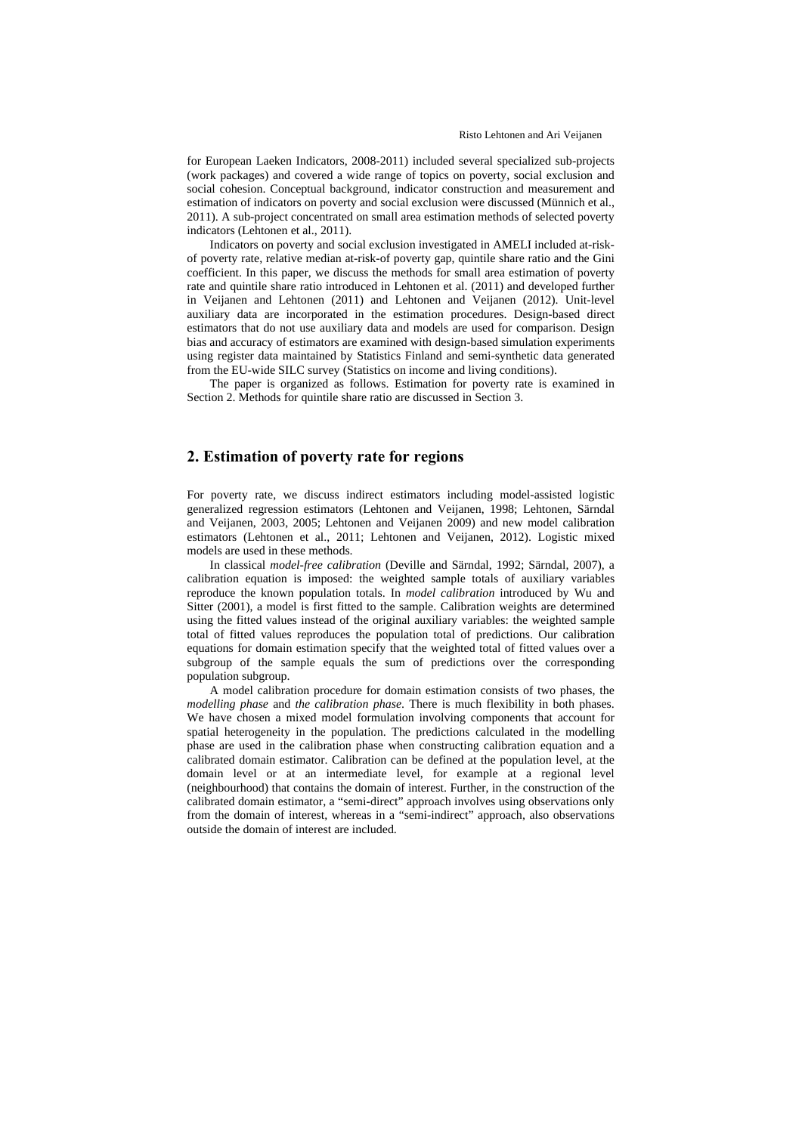for European Laeken Indicators, 2008-2011) included several specialized sub-projects (work packages) and covered a wide range of topics on poverty, social exclusion and social cohesion. Conceptual background, indicator construction and measurement and estimation of indicators on poverty and social exclusion were discussed (Münnich et al., 2011). A sub-project concentrated on small area estimation methods of selected poverty indicators (Lehtonen et al., 2011).

Indicators on poverty and social exclusion investigated in AMELI included at-riskof poverty rate, relative median at-risk-of poverty gap, quintile share ratio and the Gini coefficient. In this paper, we discuss the methods for small area estimation of poverty rate and quintile share ratio introduced in Lehtonen et al. (2011) and developed further in Veijanen and Lehtonen (2011) and Lehtonen and Veijanen (2012). Unit-level auxiliary data are incorporated in the estimation procedures. Design-based direct estimators that do not use auxiliary data and models are used for comparison. Design bias and accuracy of estimators are examined with design-based simulation experiments using register data maintained by Statistics Finland and semi-synthetic data generated from the EU-wide SILC survey (Statistics on income and living conditions).

The paper is organized as follows. Estimation for poverty rate is examined in Section 2. Methods for quintile share ratio are discussed in Section 3.

#### **2. Estimation of poverty rate for regions**

For poverty rate, we discuss indirect estimators including model-assisted logistic generalized regression estimators (Lehtonen and Veijanen, 1998; Lehtonen, Särndal and Veijanen, 2003, 2005; Lehtonen and Veijanen 2009) and new model calibration estimators (Lehtonen et al., 2011; Lehtonen and Veijanen, 2012). Logistic mixed models are used in these methods.

In classical *model-free calibration* (Deville and Särndal, 1992; Särndal, 2007), a calibration equation is imposed: the weighted sample totals of auxiliary variables reproduce the known population totals. In *model calibration* introduced by Wu and Sitter (2001), a model is first fitted to the sample. Calibration weights are determined using the fitted values instead of the original auxiliary variables: the weighted sample total of fitted values reproduces the population total of predictions. Our calibration equations for domain estimation specify that the weighted total of fitted values over a subgroup of the sample equals the sum of predictions over the corresponding population subgroup.

A model calibration procedure for domain estimation consists of two phases, the *modelling phase* and *the calibration phase*. There is much flexibility in both phases. We have chosen a mixed model formulation involving components that account for spatial heterogeneity in the population. The predictions calculated in the modelling phase are used in the calibration phase when constructing calibration equation and a calibrated domain estimator. Calibration can be defined at the population level, at the domain level or at an intermediate level, for example at a regional level (neighbourhood) that contains the domain of interest. Further, in the construction of the calibrated domain estimator, a "semi-direct" approach involves using observations only from the domain of interest, whereas in a "semi-indirect" approach, also observations outside the domain of interest are included.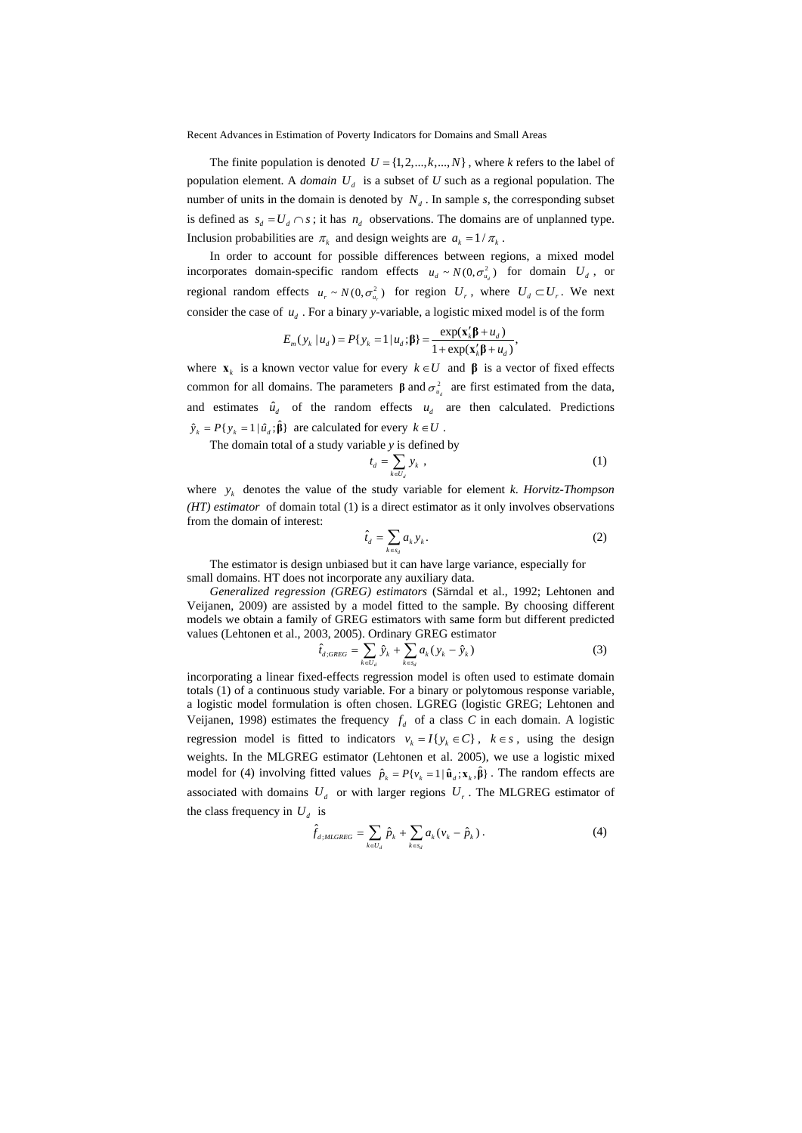The finite population is denoted  $U = \{1, 2, ..., k, ..., N\}$ , where *k* refers to the label of population element. A *domain*  $U_d$  is a subset of  $U$  such as a regional population. The number of units in the domain is denoted by  $N<sub>d</sub>$ . In sample *s*, the corresponding subset is defined as  $s_d = U_d \cap s$ ; it has  $n_d$  observations. The domains are of unplanned type. Inclusion probabilities are  $\pi_k$  and design weights are  $a_k = 1/\pi_k$ .

In order to account for possible differences between regions, a mixed model incorporates domain-specific random effects  $u_d \sim N(0, \sigma_u^2)$  for domain  $U_d$ , or regional random effects  $u_r \sim N(0, \sigma_u^2)$  for region  $U_r$ , where  $U_d \subset U_r$ . We next consider the case of  $u_d$ . For a binary *y*-variable, a logistic mixed model is of the form

$$
E_m(y_k | u_d) = P\{y_k = 1 | u_d; \beta\} = \frac{\exp(\mathbf{x}_k'\beta + u_d)}{1 + \exp(\mathbf{x}_k'\beta + u_d)},
$$

where  $\mathbf{x}_k$  is a known vector value for every  $k \in U$  and  $\boldsymbol{\beta}$  is a vector of fixed effects common for all domains. The parameters **β** and  $\sigma_{u_a}^2$  are first estimated from the data, and estimates  $\hat{u}_d$  of the random effects  $u_d$  are then calculated. Predictions  $\hat{y}_k = P\{y_k = 1 | \hat{u}_d; \hat{\beta}\}\$ are calculated for every  $k \in U$ .

The domain total of a study variable *y* is defined by

$$
t_d = \sum_{k \in U_d} y_k \tag{1}
$$

where  $y_k$  denotes the value of the study variable for element *k*. *Horvitz-Thompson (HT) estimator* of domain total (1) is a direct estimator as it only involves observations from the domain of interest:

$$
\hat{t}_d = \sum_{k \in s_d} a_k y_k. \tag{2}
$$

The estimator is design unbiased but it can have large variance, especially for small domains. HT does not incorporate any auxiliary data.

*Generalized regression (GREG) estimators* (Särndal et al., 1992; Lehtonen and Veijanen, 2009) are assisted by a model fitted to the sample. By choosing different models we obtain a family of GREG estimators with same form but different predicted values (Lehtonen et al., 2003, 2005). Ordinary GREG estimator

$$
\hat{t}_{d;GREG} = \sum_{k \in U_d} \hat{y}_k + \sum_{k \in s_d} a_k (y_k - \hat{y}_k)
$$
\n(3)

incorporating a linear fixed-effects regression model is often used to estimate domain totals (1) of a continuous study variable. For a binary or polytomous response variable, a logistic model formulation is often chosen. LGREG (logistic GREG; Lehtonen and Veijanen, 1998) estimates the frequency  $f_d$  of a class *C* in each domain. A logistic regression model is fitted to indicators  $v_k = I\{y_k \in C\}$ ,  $k \in s$ , using the design weights. In the MLGREG estimator (Lehtonen et al. 2005), we use a logistic mixed model for (4) involving fitted values  $\hat{p}_k = P\{v_k = 1 | \hat{\mathbf{u}}_d; \mathbf{x}_k, \hat{\boldsymbol{\beta}}\}\$ . The random effects are associated with domains  $U_d$  or with larger regions  $U_r$ . The MLGREG estimator of the class frequency in  $U_d$  is

$$
\hat{f}_{d;MLGREG} = \sum_{k \in U_d} \hat{p}_k + \sum_{k \in s_d} a_k (v_k - \hat{p}_k).
$$
 (4)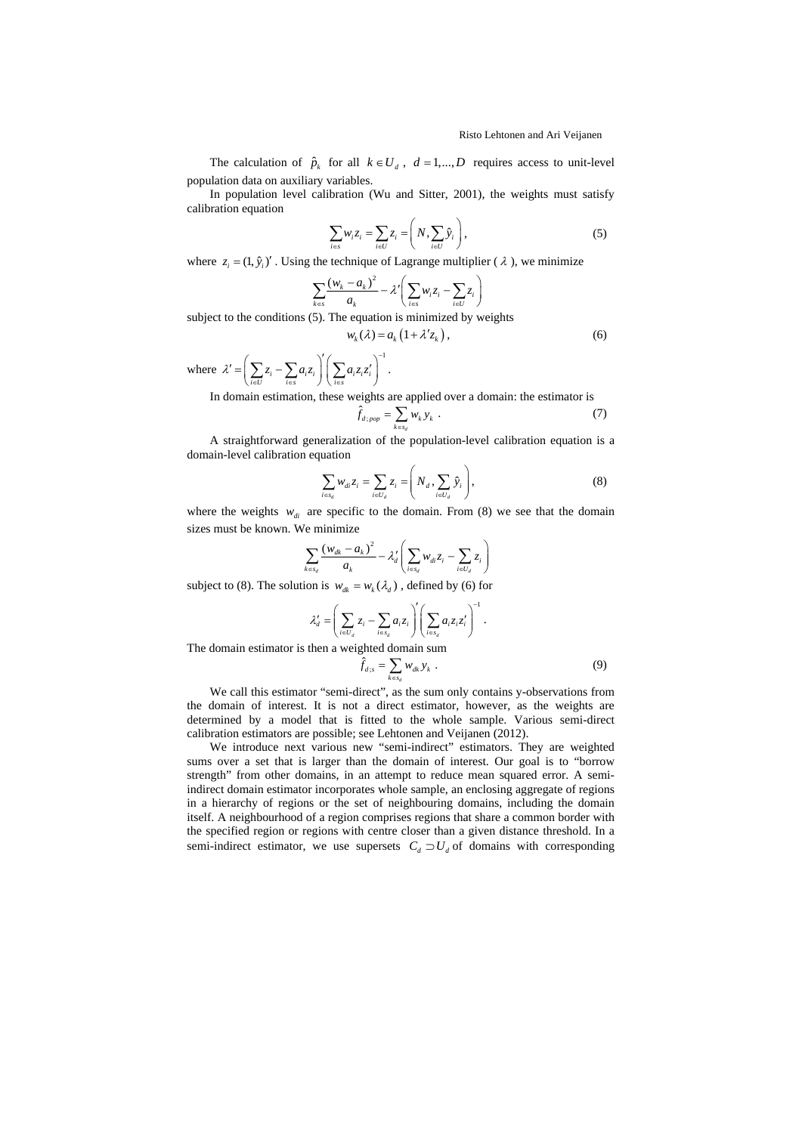The calculation of  $\hat{p}_k$  for all  $k \in U_d$ ,  $d = 1,..., D$  requires access to unit-level population data on auxiliary variables.

In population level calibration (Wu and Sitter, 2001), the weights must satisfy calibration equation

$$
\sum_{i \in S} w_i z_i = \sum_{i \in U} z_i = \left( N, \sum_{i \in U} \hat{y}_i \right),\tag{5}
$$

where  $z_i = (1, \hat{y}_i)'$ . Using the technique of Lagrange multiplier ( $\lambda$ ), we minimize

$$
\sum_{k \in S} \frac{(w_k - a_k)^2}{a_k} - \lambda' \left( \sum_{i \in S} w_i z_i - \sum_{i \in U} z_i \right)
$$

subject to the conditions  $(5)$ . The equation is minimized by weights

$$
w_k(\lambda) = a_k \left(1 + \lambda' z_k\right),\tag{6}
$$

where 1  $\mathcal{X}' = \left( \sum_{i \in U} z_i - \sum_{i \in s} a_i z_i \right) \left( \sum_{i \in s} a_i z_i z_i \right)$ −  $\label{eq:z} \boldsymbol{\zeta}^\prime = \left(\sum_{i \in U} \boldsymbol{z}_i - \sum_{i \in s} \boldsymbol{a}_i \boldsymbol{z}_i\right)^\prime \left(\sum_{i \in s} \boldsymbol{a}_i \boldsymbol{z}_i \boldsymbol{z}_i^\prime\right)^{-1}.$ 

In domain estimation, these weights are applied over a domain: the estimator is  $\hat{f}_{d}$ ;

$$
\hat{f}_{d;pop} = \sum_{k \in s_d} w_k y_k \tag{7}
$$

A straightforward generalization of the population-level calibration equation is a domain-level calibration equation

$$
\sum_{i \in s_d} w_{di} z_i = \sum_{i \in U_d} z_i = \left( N_d \sum_{i \in U_d} \hat{y}_i \right), \tag{8}
$$

where the weights  $w_{di}$  are specific to the domain. From (8) we see that the domain sizes must be known. We minimize

$$
\sum_{k \in s_d} \frac{(w_{dk} - a_k)^2}{a_k} - \lambda'_d \left( \sum_{i \in s_d} w_{di} z_i - \sum_{i \in U_d} z_i \right)
$$

subject to (8). The solution is  $w_{dk} = w_k(\lambda_d)$ , defined by (6) for

$$
\lambda'_d = \left(\sum_{i \in U_d} z_i - \sum_{i \in s_d} a_i z_i\right)' \left(\sum_{i \in s_d} a_i z_i z'_i\right)^{-1}.
$$

The domain estimator is then a weighted domain sum

$$
\hat{f}_{d;s} = \sum_{k \in s_d} w_{dk} y_k . \qquad (9)
$$

We call this estimator "semi-direct", as the sum only contains y-observations from the domain of interest. It is not a direct estimator, however, as the weights are determined by a model that is fitted to the whole sample. Various semi-direct calibration estimators are possible; see Lehtonen and Veijanen (2012).

We introduce next various new "semi-indirect" estimators. They are weighted sums over a set that is larger than the domain of interest. Our goal is to "borrow strength" from other domains, in an attempt to reduce mean squared error. A semiindirect domain estimator incorporates whole sample, an enclosing aggregate of regions in a hierarchy of regions or the set of neighbouring domains, including the domain itself. A neighbourhood of a region comprises regions that share a common border with the specified region or regions with centre closer than a given distance threshold. In a semi-indirect estimator, we use supersets  $C_d \supset U_d$  of domains with corresponding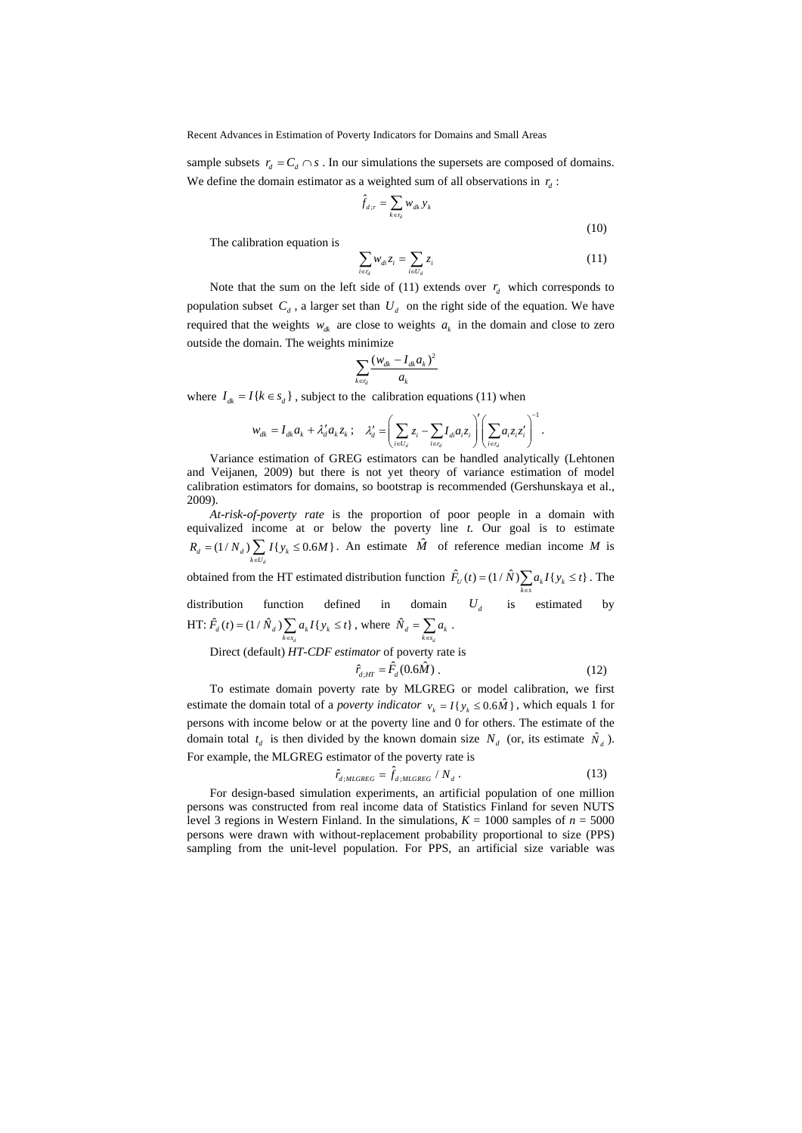sample subsets  $r_a = C_a \cap s$ . In our simulations the supersets are composed of domains. We define the domain estimator as a weighted sum of all observations in  $r_d$ :

$$
\hat{f}_{d:r} = \sum_{k \in r_d} w_{dk} y_k
$$
\n(10)

The calibration equation is

$$
\sum_{i \in r_d} w_{di} z_i = \sum_{i \in U_d} z_i \tag{11}
$$

Note that the sum on the left side of (11) extends over  $r_d$  which corresponds to population subset  $C_d$ , a larger set than  $U_d$  on the right side of the equation. We have required that the weights  $w_{dk}$  are close to weights  $a_k$  in the domain and close to zero outside the domain. The weights minimize

$$
\sum_{k \in r_d} \frac{(w_{dk} - I_{dk} a_k)^2}{a_k}
$$

where  $I_{dk} = I\{k \in s_d\}$ , subject to the calibration equations (11) when

$$
w_{dk}=I_{dk}a_k+\lambda'_da_kz_k\,;\quad \lambda'_d=\left(\sum_{i\in U_d}z_i-\sum_{i\in r_d}I_{di}a_iz_i\right)' \left(\sum_{i\in r_d}a_iz_iz_i'\right)^{-1}.
$$

Variance estimation of GREG estimators can be handled analytically (Lehtonen and Veijanen, 2009) but there is not yet theory of variance estimation of model calibration estimators for domains, so bootstrap is recommended (Gershunskaya et al., 2009).

*At-risk-of-poverty rate* is the proportion of poor people in a domain with equivalized income at or below the poverty line *t*. Our goal is to estimate  $(1/N_a)$   $\sum I{y_k} \le 0.6M$  $R_d = (1/N_d) \sum_{k \in U_d} I\{y_k \le 0.6M\}$ . An estimate  $\hat{M}$  of reference median income *M* is

obtained from the HT estimated distribution function  $\hat{F}_U(t) = (1/\hat{N}) \sum_{k \in s} a_k I\{y_k \le t\}$ . The

distribution function defined in domain  $U_d$  is estimated by HT:  $\hat{F}_d(t) = (1 / \hat{N}_d) \sum a_i I\{y_i \leq t\}$  $\hat{F}_d(t) = (1/\hat{N}_d) \sum_{k \in s_d} a_k I\{y_k \le t\}$ , where  $\hat{N}_d = \sum_{k \in s_d} a_k$ .

Direct (default) *HT-CDF estimator* of poverty rate is

$$
\hat{r}_{d;HT} = \hat{F}_d(0.6\hat{M})\,. \tag{12}
$$

To estimate domain poverty rate by MLGREG or model calibration, we first estimate the domain total of a *poverty indicator*  $v_k = I\{y_k \le 0.6 \hat{M}\}\$ , which equals 1 for persons with income below or at the poverty line and 0 for others. The estimate of the domain total  $t_d$  is then divided by the known domain size  $N_d$  (or, its estimate  $\hat{N}_d$ ). For example, the MLGREG estimator of the poverty rate is

$$
\hat{r}_{d;MIGREG} = \hat{f}_{d;MIGREG} / N_d \,. \tag{13}
$$

For design-based simulation experiments, an artificial population of one million persons was constructed from real income data of Statistics Finland for seven NUTS level 3 regions in Western Finland. In the simulations,  $K = 1000$  samples of  $n = 5000$ persons were drawn with without-replacement probability proportional to size (PPS) sampling from the unit-level population. For PPS, an artificial size variable was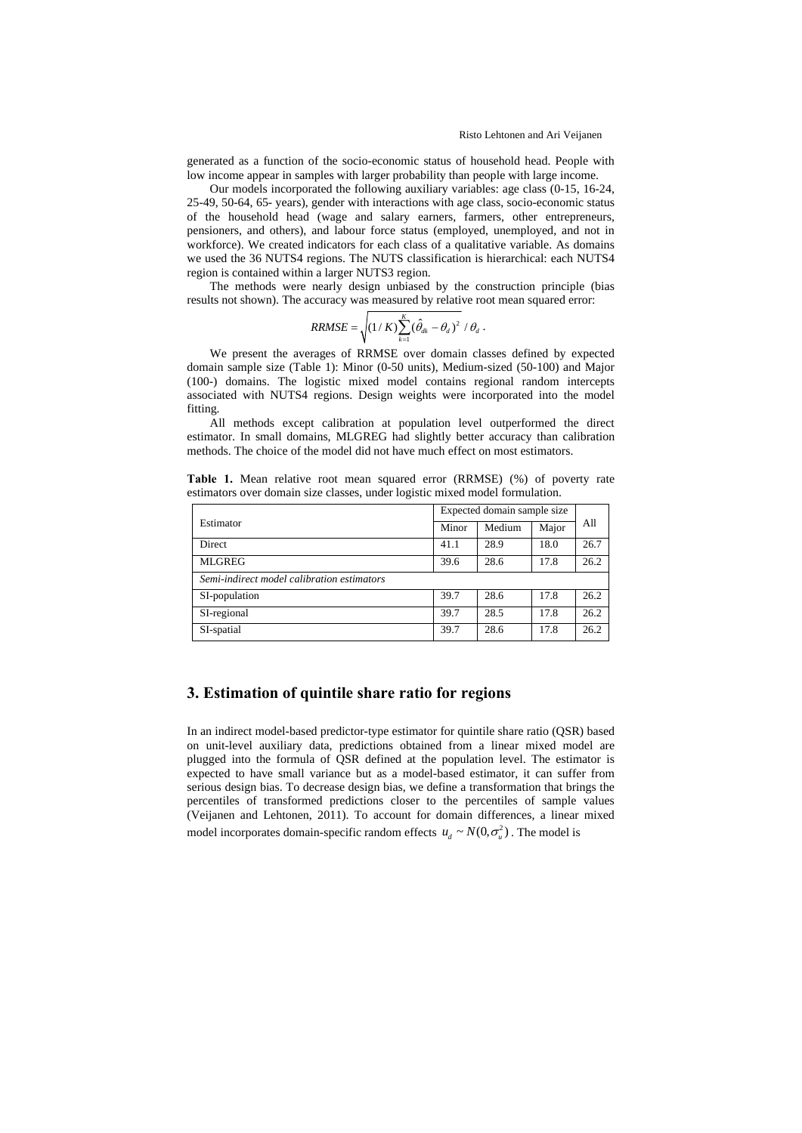generated as a function of the socio-economic status of household head. People with low income appear in samples with larger probability than people with large income.

Our models incorporated the following auxiliary variables: age class (0-15, 16-24, 25-49, 50-64, 65- years), gender with interactions with age class, socio-economic status of the household head (wage and salary earners, farmers, other entrepreneurs, pensioners, and others), and labour force status (employed, unemployed, and not in workforce). We created indicators for each class of a qualitative variable. As domains we used the 36 NUTS4 regions. The NUTS classification is hierarchical: each NUTS4 region is contained within a larger NUTS3 region.

The methods were nearly design unbiased by the construction principle (bias results not shown). The accuracy was measured by relative root mean squared error:

$$
RRMSE = \sqrt{\left(1/K\right)\sum_{k=1}^{K}(\hat{\theta}_{dk} - \theta_{d})^2 / \theta_{d}}.
$$

We present the averages of RRMSE over domain classes defined by expected domain sample size (Table 1): Minor (0-50 units), Medium-sized (50-100) and Major (100-) domains. The logistic mixed model contains regional random intercepts associated with NUTS4 regions. Design weights were incorporated into the model fitting.

All methods except calibration at population level outperformed the direct estimator. In small domains, MLGREG had slightly better accuracy than calibration methods. The choice of the model did not have much effect on most estimators.

**Table 1.** Mean relative root mean squared error (RRMSE) (%) of poverty rate estimators over domain size classes, under logistic mixed model formulation.

|                                            | Expected domain sample size |        |       |      |  |  |  |  |  |  |
|--------------------------------------------|-----------------------------|--------|-------|------|--|--|--|--|--|--|
| Estimator                                  | Minor                       | Medium | Major | All  |  |  |  |  |  |  |
| Direct                                     | 41.1                        | 28.9   | 18.0  | 26.7 |  |  |  |  |  |  |
| <b>MLGREG</b>                              | 39.6                        | 28.6   | 17.8  | 26.2 |  |  |  |  |  |  |
| Semi-indirect model calibration estimators |                             |        |       |      |  |  |  |  |  |  |
| SI-population                              | 39.7                        | 28.6   | 17.8  | 26.2 |  |  |  |  |  |  |
| SI-regional                                | 39.7                        | 28.5   | 17.8  | 26.2 |  |  |  |  |  |  |
| SI-spatial                                 | 39.7                        | 28.6   | 17.8  | 26.2 |  |  |  |  |  |  |

#### **3. Estimation of quintile share ratio for regions**

In an indirect model-based predictor-type estimator for quintile share ratio (QSR) based on unit-level auxiliary data, predictions obtained from a linear mixed model are plugged into the formula of QSR defined at the population level. The estimator is expected to have small variance but as a model-based estimator, it can suffer from serious design bias. To decrease design bias, we define a transformation that brings the percentiles of transformed predictions closer to the percentiles of sample values (Veijanen and Lehtonen, 2011). To account for domain differences, a linear mixed model incorporates domain-specific random effects  $u_a \sim N(0, \sigma_u^2)$ . The model is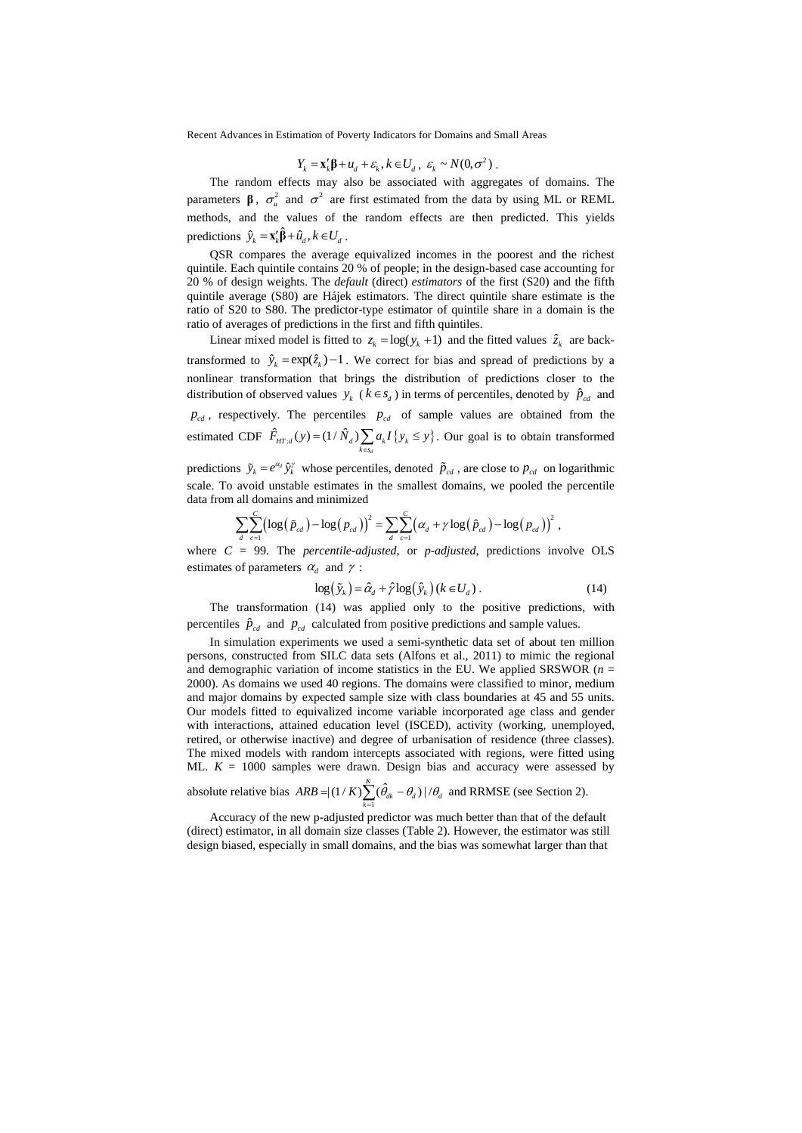$$
Y_k = \mathbf{x}_k' \mathbf{\beta} + u_d + \varepsilon_k, k \in U_d, \ \varepsilon_k \sim N(0, \sigma^2) .
$$

The random effects may also be associated with aggregates of domains. The parameters **β**,  $\sigma^2$  and  $\sigma^2$  are first estimated from the data by using ML or REML methods, and the values of the random effects are then predicted. This yields predictions  $\hat{y}_k = \mathbf{x}'_k \hat{\boldsymbol{\beta}} + \hat{u}_d$ ,  $k \in U_d$ .

QSR compares the average equivalized incomes in the poorest and the richest quintile. Each quintile contains 20 % of people; in the design-based case accounting for 20 % of design weights. The *default* (direct) *estimators* of the first (S20) and the fifth quintile average (S80) are Hájek estimators. The direct quintile share estimate is the ratio of S20 to S80. The predictor-type estimator of quintile share in a domain is the ratio of averages of predictions in the first and fifth quintiles.

Linear mixed model is fitted to  $z_k = \log(y_k + 1)$  and the fitted values  $\hat{z}_k$  are backtransformed to  $\hat{y}_k = \exp(\hat{z}_k) - 1$ . We correct for bias and spread of predictions by a nonlinear transformation that brings the distribution of predictions closer to the distribution of observed values  $y_k$  ( $k \in s_d$ ) in terms of percentiles, denoted by  $\hat{p}_{cd}$  and  $p_{cd}$ , respectively. The percentiles  $p_{cd}$  of sample values are obtained from the estimated CDF  $\hat{F}_{HT,d}(y) = (1/\hat{N}_d) \sum_{k \in s_d} a_k I\{y_k \leq y\}$ . Our goal is to obtain transformed

predictions  $\tilde{y}_k = e^{\alpha_d} \hat{y}_k^{\gamma}$  whose percentiles, denoted  $\tilde{p}_{cd}$ , are close to  $p_{cd}$  on logarithmic scale. To avoid unstable estimates in the smallest domains, we pooled the percentile data from all domains and minimized

$$
\sum_{d} \sum_{c=1}^{C} \left( \log \left( \tilde{p}_{cd} \right) - \log \left( p_{cd} \right) \right)^2 = \sum_{d} \sum_{c=1}^{C} \left( \alpha_d + \gamma \log \left( \hat{p}_{cd} \right) - \log \left( p_{cd} \right) \right)^2,
$$

where *C* = 99. The *percentile-adjusted*, or *p-adjusted*, predictions involve OLS estimates of parameters  $\alpha_d$  and  $\gamma$ :

$$
\log(\tilde{y}_k) = \hat{\alpha}_d + \hat{\gamma} \log(\hat{y}_k) \left( k \in U_d \right). \tag{14}
$$

The transformation (14) was applied only to the positive predictions, with percentiles  $\hat{p}_{cd}$  and  $p_{cd}$  calculated from positive predictions and sample values.

In simulation experiments we used a semi-synthetic data set of about ten million persons, constructed from SILC data sets (Alfons et al., 2011) to mimic the regional and demographic variation of income statistics in the EU. We applied SRSWOR  $(n =$ 2000). As domains we used 40 regions. The domains were classified to minor, medium and major domains by expected sample size with class boundaries at 45 and 55 units. Our models fitted to equivalized income variable incorporated age class and gender with interactions, attained education level (ISCED), activity (working, unemployed, retired, or otherwise inactive) and degree of urbanisation of residence (three classes). The mixed models with random intercepts associated with regions, were fitted using ML.  $K = 1000$  samples were drawn. Design bias and accuracy were assessed by

absolute relative bias  $ARB = |(1/K)\sum_{k=1}^{K} (\hat{\theta}_{ak} - \theta_{d})|$  $ARB = |(1/K)\sum_{k=1}^K (\hat{\theta}_{ak} - \theta_d) |/\theta_d$  and RRMSE (see Section 2).

Accuracy of the new p-adjusted predictor was much better than that of the default (direct) estimator, in all domain size classes (Table 2). However, the estimator was still design biased, especially in small domains, and the bias was somewhat larger than that